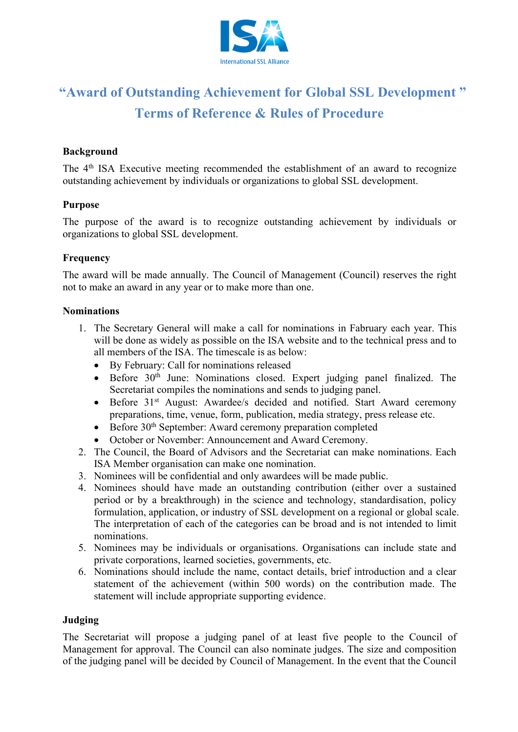

# **"Award of Outstanding Achievement for Global SSL Development " Terms of Reference & Rules of Procedure**

# **Background**

The 4th ISA Executive meeting recommended the establishment of an award to recognize outstanding achievement by individuals or organizations to global SSL development.

#### **Purpose**

The purpose of the award is to recognize outstanding achievement by individuals or organizations to global SSL development.

#### **Frequency**

The award will be made annually. The Council of Management (Council) reserves the right not to make an award in any year or to make more than one.

#### **Nominations**

- 1. The Secretary General will make a call for nominations in Fabruary each year. This will be done as widely as possible on the ISA website and to the technical press and to all members of the ISA. The timescale is as below:
	- By February: Call for nominations released
	- Before 30<sup>th</sup> June: Nominations closed. Expert judging panel finalized. The Secretariat compiles the nominations and sends to judging panel.
	- Before 31 st August: Awardee/s decided and notified. Start Award ceremony preparations, time, venue, form, publication, media strategy, press release etc.
	- Before 30<sup>th</sup> September: Award ceremony preparation completed
	- October or November: Announcement and Award Ceremony.
- 2. The Council, the Board of Advisors and the Secretariat can make nominations. Each ISA Member organisation can make one nomination.
- 3. Nominees will be confidential and only awardees will be made public.
- 4. Nominees should have made an outstanding contribution (either over a sustained period or by a breakthrough) in the science and technology, standardisation, policy formulation, application, or industry of SSL development on a regional or global scale. The interpretation of each of the categories can be broad and is not intended to limit nominations.
- 5. Nominees may be individuals or organisations. Organisations can include state and private corporations, learned societies, governments, etc.
- 6. Nominations should include the name, contact details, brief introduction and a clear statement of the achievement (within 500 words) on the contribution made. The statement will include appropriate supporting evidence.

# **Judging**

The Secretariat will propose a judging panel of at least five people to the Council of Management for approval. The Council can also nominate judges. The size and composition of the judging panel will be decided by Council of Management. In the event that the Council